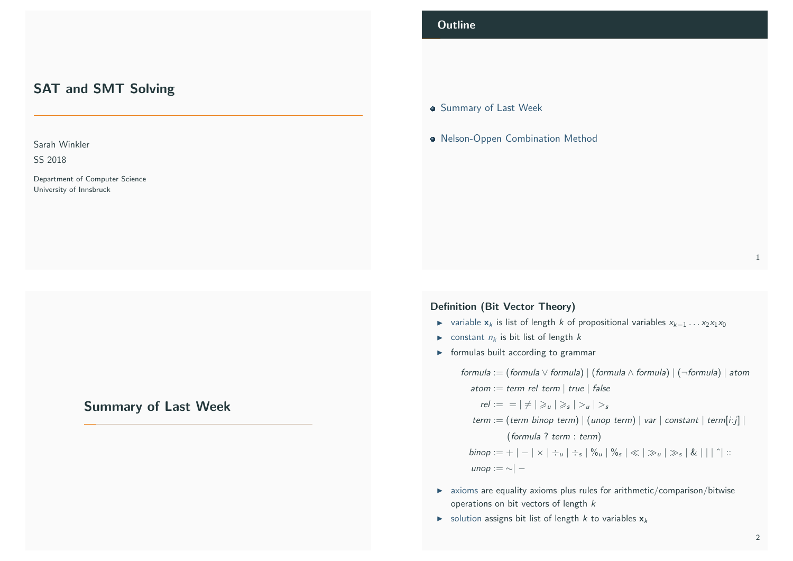# SAT and SMT Solving

Sarah Winkler

SS 2018

Department of Computer Science University of Innsbruck

# <span id="page-0-0"></span>[Summary of Last W](#page-0-0)eek

# **Outline**

- 
- **Summary of Last Week**
- **Nelson-Oppen Combination Method**

#### 1

## Definition (Bit Vector Theory)

- $\triangleright$  variable  $x_k$  is list of length k of propositional variables  $x_{k-1} \dots x_2 x_1 x_0$
- ightharpoonup constant  $n_k$  is bit list of length k
- $\triangleright$  formulas built according to grammar

formula := (formula  $\lor$  formula) | (formula  $\land$  formula) | (¬formula) | atom atom := term rel term | true | false

 $rel := \vert \neq \vert \geq u \vert \geq s \vert > u \vert > s$ 

term := (term binop term) | (unop term) | var | constant | term[i:j] | (formula ? term : term)

 $\mathit{binop} := + \, |\, - \, |\times| \div_u \, |\div_s| \, \%$ u $| \, \%$ s $| \ll | \, \gg_u | \, \gg_s | \, \& \, |\, |\, |\, |\, \dot{\,}|\,$  :: unop : $=$  ∼ $|-$ 

- $\triangleright$  axioms are equality axioms plus rules for arithmetic/comparison/bitwise operations on bit vectors of length k
- $\triangleright$  solution assigns bit list of length k to variables  $x_k$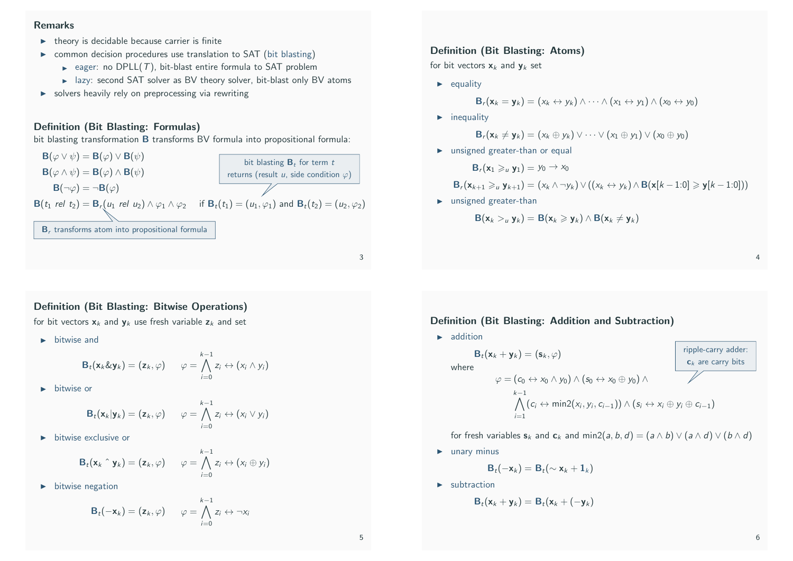# Remarks

- $\blacktriangleright$  theory is decidable because carrier is finite
- $\triangleright$  common decision procedures use translation to SAT (bit blasting)
	- eager: no DPLL(T), bit-blast entire formula to SAT problem
	- $\blacktriangleright$  lazy: second SAT solver as BV theory solver, bit-blast only BV atoms
- $\triangleright$  solvers heavily rely on preprocessing via rewriting

# Definition (Bit Blasting: Formulas)

bit blasting transformation **B** transforms BV formula into propositional formula:



3

# Definition (Bit Blasting: Bitwise Operations)

for bit vectors  $x_k$  and  $y_k$  use fresh variable  $z_k$  and set

 $\blacktriangleright$  bitwise and

$$
\mathsf{B}_t(\mathsf{x}_k \& \mathsf{y}_k) = (\mathsf{z}_k, \varphi) \qquad \varphi = \bigwedge_{i=0}^{k-1} z_i \leftrightarrow (x_i \wedge y_i)
$$

 $\blacktriangleright$  bitwise or

$$
\mathbf{B}_t(\mathbf{x}_k|\mathbf{y}_k)=(\mathbf{z}_k,\varphi) \qquad \varphi=\bigwedge_{i=0}^{k-1} z_i \leftrightarrow (x_i\vee y_i)
$$

 $\blacktriangleright$  bitwise exclusive or

$$
\mathbf{B}_t(\mathbf{x}_k \uparrow \mathbf{y}_k) = (\mathbf{z}_k, \varphi) \qquad \varphi = \bigwedge_{i=0}^{k-1} z_i \leftrightarrow (x_i \oplus y_i)
$$

 $\blacktriangleright$  bitwise negation

$$
\mathbf{B}_t(-\mathbf{x}_k)=(\mathbf{z}_k,\varphi) \qquad \varphi=\bigwedge_{i=0}^{k-1} z_i \leftrightarrow \neg x_i
$$

#### Definition (Bit Blasting: Atoms)

for bit vectors  $x_k$  and  $y_k$  set

 $\blacktriangleright$  equality

$$
\mathbf{B}_r(\mathbf{x}_k=\mathbf{y}_k)=(x_k\leftrightarrow y_k)\wedge\cdots\wedge(x_1\leftrightarrow y_1)\wedge(x_0\leftrightarrow y_0)
$$

 $\blacktriangleright$  inequality

$$
\mathbf{B}_r(\mathbf{x}_k \neq \mathbf{y}_k) = (x_k \oplus y_k) \vee \cdots \vee (x_1 \oplus y_1) \vee (x_0 \oplus y_0)
$$

 $\blacktriangleright$  unsigned greater-than or equal

 $\mathbf{B}_r(\mathbf{x}_1 \geq u \mathbf{y}_1) = y_0 \to x_0$ 

$$
\mathbf{B}_r(\mathbf{x}_{k+1} \geq u \mathbf{y}_{k+1}) = (x_k \wedge \neg y_k) \vee ((x_k \leftrightarrow y_k) \wedge \mathbf{B}(\mathbf{x}[k-1:0] \geq \mathbf{y}[k-1:0]))
$$

 $\blacktriangleright$  unsigned greater-than

$$
B(\mathbf{x}_k >_u \mathbf{y}_k) = B(\mathbf{x}_k \geqslant \mathbf{y}_k) \wedge B(\mathbf{x}_k \neq \mathbf{y}_k)
$$

4

# Definition (Bit Blasting: Addition and Subtraction)

 $\blacktriangleright$  addition

$$
\mathbf{B}_{t}(\mathbf{x}_{k} + \mathbf{y}_{k}) = (\mathbf{s}_{k}, \varphi)
$$
\nwhere\n
$$
\varphi = (c_{0} \leftrightarrow x_{0} \land y_{0}) \land (s_{0} \leftrightarrow x_{0} \oplus y_{0}) \land \varphi = (c_{i} \leftrightarrow x_{i} \oplus y_{i}) \land \varphi = (c_{i} \leftrightarrow x_{i} \oplus y_{i} \oplus z_{i-1})
$$
\n
$$
\bigwedge_{i=1}^{k-1} (c_{i} \leftrightarrow \min(2(x_{i}, y_{i}, c_{i-1})) \land (s_{i} \leftrightarrow x_{i} \oplus y_{i} \oplus c_{i-1})
$$

for fresh variables  $s_k$  and  $c_k$  and min2(a, b, d) = (a  $\wedge$  b)  $\vee$  (a  $\wedge$  d)  $\vee$  (b  $\wedge$  d)

 $\blacktriangleright$  unary minus

$$
\mathbf{B}_t(-\mathbf{x}_k) = \mathbf{B}_t(\sim \mathbf{x}_k + \mathbf{1}_k)
$$

 $\blacktriangleright$  subtraction

$$
\mathbf{B}_t(\mathbf{x}_k+\mathbf{y}_k)=\mathbf{B}_t(\mathbf{x}_k+(-\mathbf{y}_k))
$$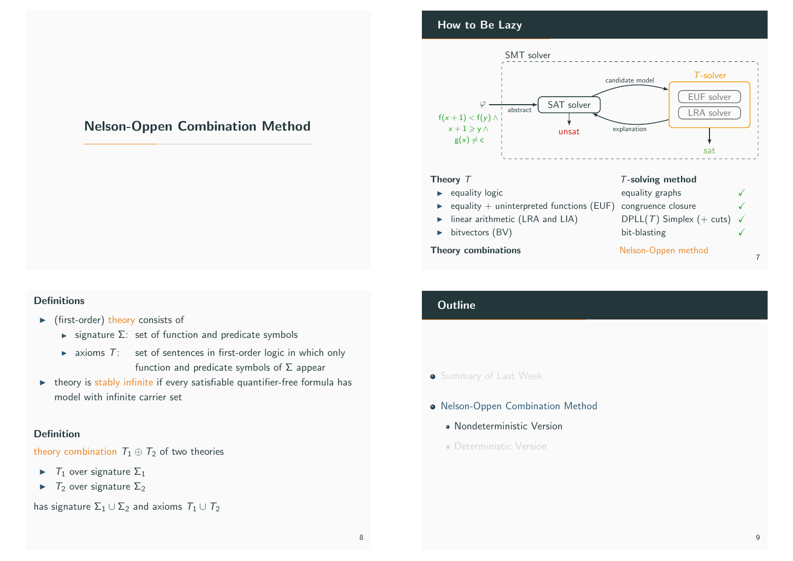# Nelson-Oppen Combination Method

# <span id="page-2-0"></span>**Definitions**

- $\blacktriangleright$  (first-order) theory consists of
	- $\triangleright$  signature  $\Sigma$ : set of function and predicate symbols
	- $\triangleright$  axioms  $T$ : set of sentences in first-order logic in which only function and predicate symbols of  $\Sigma$  appear
- $\triangleright$  theory is stably infinite if every satisfiable quantifier-free formula has [model with infin](#page-0-0)ite carrier set

# [Definition](#page-2-0)

[theory combination](#page-3-0)  $T_1 \oplus T_2$  of two theories

- $\blacktriangleright$   $T_1$  over signature  $\Sigma_1$
- $\blacktriangleright$   $T_2$  over signature  $\Sigma_2$

has signature  $\Sigma_1 \cup \Sigma_2$  and axioms  $T_1 \cup T_2$ 

# How to Be Lazy



- $\blacktriangleright$  linear arithmetic (LRA and LIA)
- $\blacktriangleright$  bitvectors (BV)

## Theory combinations Nelson-Oppen method

| equality graphs                       |  |
|---------------------------------------|--|
| congruence closure                    |  |
| DPLL(T) Simplex (+ cuts) $\checkmark$ |  |
| bit-blasting                          |  |
|                                       |  |

# **Outline**

# **Summary of Last Week**

- Nelson-Oppen Combination Method
	- Nondeterministic Version
	- Deterministic Version

7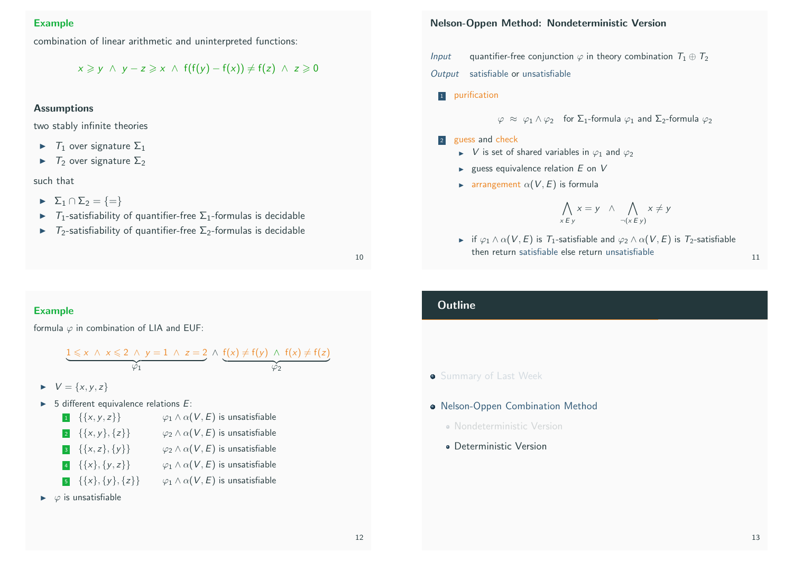# Example

combination of linear arithmetic and uninterpreted functions:

 $x \geq v \land v - z \geq x \land f(f(v) - f(x)) \neq f(z) \land z \geq 0$ 

## **Assumptions**

two stably infinite theories

- $\blacktriangleright$   $\top_1$  over signature  $\Sigma_1$
- $\blacktriangleright$   $\top_2$  over signature  $\Sigma_2$

### such that

- $\blacktriangleright$   $\Sigma_1 \cap \Sigma_2 = \{=\}$
- $\triangleright$  T<sub>1</sub>-satisfiability of quantifier-free  $\Sigma_1$ -formulas is decidable
- $\blacktriangleright$   $T_2$ -satisfiability of quantifier-free  $\Sigma_2$ -formulas is decidable

10

# <span id="page-3-0"></span>Example

formula  $\varphi$  in combination of LIA and EUF:

$$
\underbrace{1 \leq x \ \land \ x \leq 2 \ \land \ y = 1 \ \land \ z = 2}_{\varphi_1} \land \underbrace{f(x) \neq f(y) \ \land \ f(x) \neq f(z)}_{\varphi_2}
$$

- $V = \{x, y, z\}$  $V = \{x, y, z\}$  $V = \{x, y, z\}$
- $\triangleright$  5 different equivalence relations E:

| $1 \quad {\{x,y,z\}}$       | $\varphi_1 \wedge \alpha(V, E)$ is unsatisfiable |
|-----------------------------|--------------------------------------------------|
| $\{ \{x,y\},\{z\} \}$       | $\varphi_2 \wedge \alpha(V, E)$ is unsatisfiable |
| $\{ \{x,z\}, \{y\} \}$      | $\varphi_2 \wedge \alpha(V, E)$ is unsatisfiable |
| $\{ \{x\}, \{y, z\} \}$     | $\varphi_1 \wedge \alpha(V, E)$ is unsatisfiable |
| $\{ \{x\}, \{y\}, \{z\} \}$ | $\varphi_1 \wedge \alpha(V, E)$ is unsatisfiable |
|                             |                                                  |

 $\blacktriangleright \varphi$  is unsatisfiable

# Nelson-Oppen Method: Nondeterministic Version

*Input* quantifier-free conjunction  $\varphi$  in theory combination  $T_1 \oplus T_2$ Output satisfiable or unsatisfiable

- 1 purification
	- $\varphi \approx \varphi_1 \wedge \varphi_2$  for  $\Sigma_1$ -formula  $\varphi_1$  and  $\Sigma_2$ -formula  $\varphi_2$

# 2 guess and check

- $\triangleright$  V is set of shared variables in  $\varphi_1$  and  $\varphi_2$
- $\blacktriangleright$  guess equivalence relation  $E$  on  $V$
- **IF** arrangement  $\alpha(V, E)$  is formula

$$
\bigwedge_{x \in y} x = y \quad \wedge \quad \bigwedge_{\neg(x \in y)} x \neq y
$$

**if**  $\varphi_1 \wedge \alpha(V, E)$  is  $T_1$ -satisfiable and  $\varphi_2 \wedge \alpha(V, E)$  is  $T_2$ -satisfiable then return satisfiable else return unsatisfiable 11

# **Outline**

# **Summary of Last Week**

# **• Nelson-Oppen Combination Method**

- Nondeterministic Version
- Deterministic Version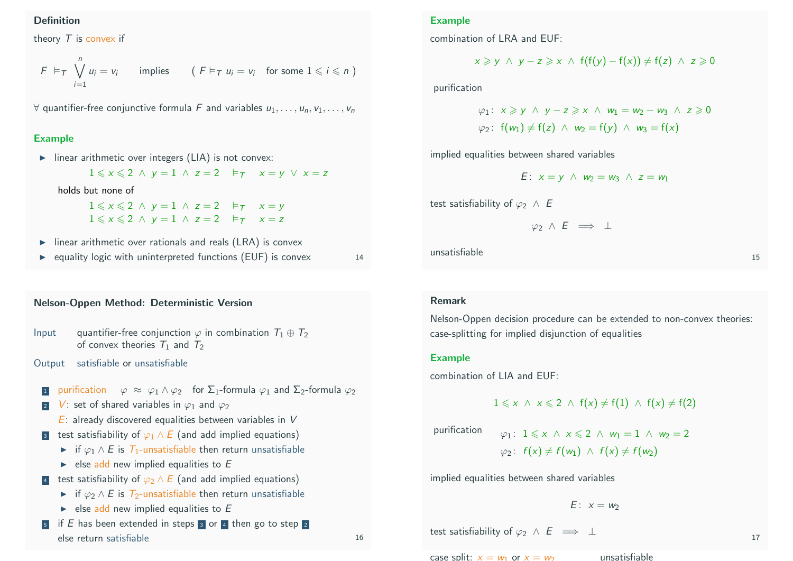## Definition

theory  $T$  is convex if

$$
F \vDash_{\mathcal{T}} \bigvee_{i=1}^{n} u_{i} = v_{i} \qquad \text{implies} \qquad (F \vDash_{\mathcal{T}} u_{i} = v_{i} \quad \text{for some } 1 \leqslant i \leqslant n \text{)}
$$

 $\forall$  quantifier-free conjunctive formula F and variables  $u_1, \ldots, u_n, v_1, \ldots, v_n$ 

## Example

 $\triangleright$  linear arithmetic over integers (LIA) is not convex:

 $1 \leq x \leq 2 \land y = 1 \land z = 2 \quad \models_{\tau} \quad x = y \lor x = z$ 

holds but none of

 $1 \leqslant x \leqslant 2 \land y = 1 \land z = 2 \quad \vDash_{\mathcal{T}} \quad x = y$  $1 \leqslant x \leqslant 2 \land y = 1 \land z = 2 \quad \vDash_{\mathcal{T}} \quad x = z$ 

- $\triangleright$  linear arithmetic over rationals and reals (LRA) is convex
- $\triangleright$  equality logic with uninterpreted functions (EUF) is convex 14

## Nelson-Oppen Method: Deterministic Version

```
Input quantifier-free conjunction \varphi in combination T_1 \oplus T_2of convex theories T_1 and T_2
```
Output satisfiable or unsatisfiable

- purification  $\varphi \approx \varphi_1 \wedge \varphi_2$  for  $\Sigma_1$ -formula  $\varphi_1$  and  $\Sigma_2$ -formula  $\varphi_2$
- V: set of shared variables in  $\varphi_1$  and  $\varphi_2$ 
	- $E$ : already discovered equalities between variables in V
- 3 test satisfiability of  $\varphi_1 \wedge E$  (and add implied equations)
	- $\triangleright$  if  $\varphi_1 \wedge E$  is  $T_1$ -unsatisfiable then return unsatisfiable
	- $\triangleright$  else add new implied equalities to E
- 4 test satisfiability of  $\varphi_2 \wedge E$  (and add implied equations)
	- $\triangleright$  if  $\varphi_2 \wedge E$  is  $\tau_2$ -unsatisfiable then return unsatisfiable
	- $\triangleright$  else add new implied equalities to E
- $\overline{5}$  if E has been extended in steps  $\overline{3}$  or  $\overline{4}$  then go to step  $\overline{2}$ else return satisfiable 16

Example

combination of LRA and EUF:

$$
x \geq y \ \land \ y - z \geq x \ \land \ f(f(y) - f(x)) \neq f(z) \ \land \ z \geq 0
$$

purification

$$
\varphi_1: x \geq y \land y - z \geq x \land w_1 = w_2 - w_3 \land z \geq 0
$$
  

$$
\varphi_2: f(w_1) \neq f(z) \land w_2 = f(y) \land w_3 = f(x)
$$

implied equalities between shared variables

$$
E: x = y \wedge w_2 = w_3 \wedge z = w_1
$$

test satisfiability of  $\varphi_2 \wedge E$ 

$$
\varphi_2 \wedge E \implies \bot
$$

unsatisfiable the control of the control of the control of the control of the control of the control of the control of the control of the control of the control of the control of the control of the control of the control o

## Remark

Nelson-Oppen decision procedure can be extended to non-convex theories: case-splitting for implied disjunction of equalities

### Example

combination of LIA and EUF:

$$
1 \leqslant x \ \wedge \ x \leqslant 2 \ \wedge \ f(x) \neq f(1) \ \wedge \ f(x) \neq f(2)
$$

purification  $\varphi$ 

$$
\varphi_1: 1 \leq x \land x \leq 2 \land w_1 = 1 \land w_2 = 2
$$
  

$$
\varphi_2: f(x) \neq f(w_1) \land f(x) \neq f(w_2)
$$

implied equalities between shared variables

$$
E: x=w_2
$$

test satisfiability of  $\varphi_2 \wedge E \implies \bot$ 

case split:  $x = w_1$  or  $x = w_2$  unsatisfiable

17